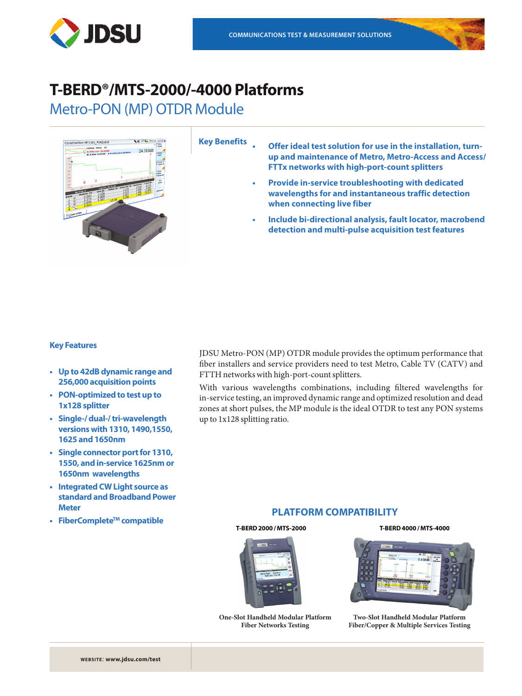



# Metro-PON (MP) OTDR Module



**Key Benefits**

- **• Offer ideal test solution for use in the installation, turnup and maintenance of Metro, Metro-Access and Access/ FTTx networks with high-port-count splitters**
	- **• Provide in-service troubleshooting with dedicated wavelengths for and instantaneous traffic detection when connecting live fiber**
	- **• Include bi-directional analysis, fault locator, macrobend detection and multi-pulse acquisition test features**

### **Key Features**

- **• Up to 42dB dynamic range and 256,000 acquisition points**
- **• PON-optimized to test up to 1x128 splitter**
- **• Single-/ dual-/ tri-wavelength versions with 1310, 1490,1550, 1625 and 1650nm**
- **• Single connector port for 1310, 1550, and in-service 1625nm or 1650nm wavelengths**
- **• Integrated CW Light source as standard and Broadband Power Meter**
- **• FiberCompleteTM compatible**

JDSU Metro-PON (MP) OTDR module provides the optimum performance that fiber installers and service providers need to test Metro, Cable TV (CATV) and FTTH networks with high-port-count splitters.

With various wavelengths combinations, including filtered wavelengths for in-service testing, an improved dynamic range and optimized resolution and dead zones at short pulses, the MP module is the ideal OTDR to test any PON systems up to 1x128 splitting ratio.

## **PLATFORM COMPATIBILITY**

#### **T-BERD 2000 / MTS-2000 T-BERD 4000 / MTS-4000**



**One-Slot Handheld Modular Platform Fiber Networks Testing**



**Two-Slot Handheld Modular Platform Fiber/Copper & Multiple Services Testing**